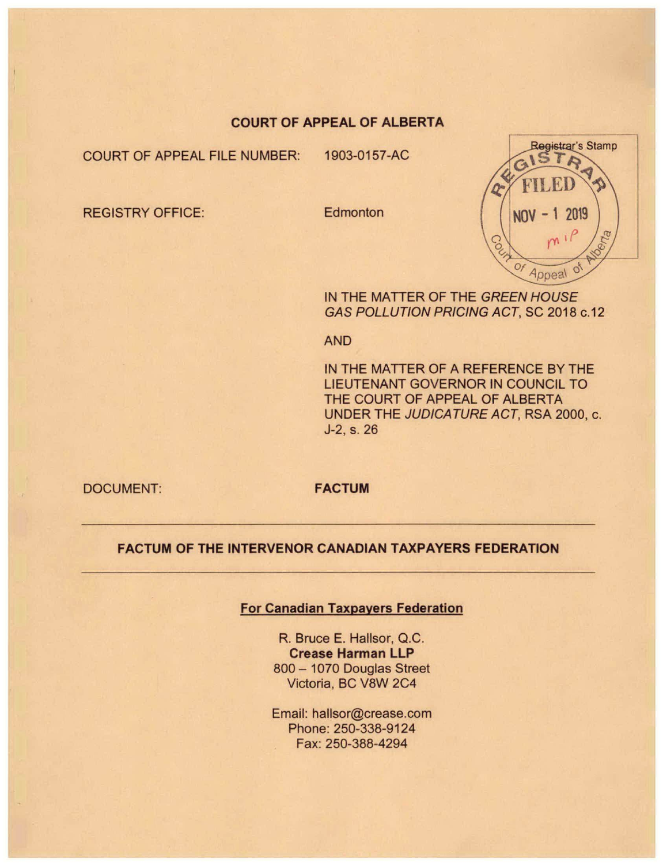# COURT OF APPEAL OF ALBERTA

COURT OF APPEAL FILE NUMBER: 1903-0157-AC

REGISTRY OFFICE: Edmonton



IN THE MATTER OF THE GREEN HOUSE GAS POLLUTION PRICING ACT, SC 2018 c.12

AND

IN THE MATTER OF A REFERENCE BY THE LIEUTENANT GOVERNOR IN COUNCIL TO THE COURT OF APPEAL OF ALBERTA UNDER THE JUDICATURE ACT, RSA 2000, c. J-2. s. 26

DOCUMENT: FACTUM

# FACTUM OF THE INTERVENOR CANADIAN TAXPAYERS FEDERATION

# For Canadian Taxpayers Federation

R. Bruce E. Hallsor, Q.C. Crease Harman LLP 800 - 1070 Douglas Street Victoria, BC V8W 2C4

Email: hallsor@crease.com Phone: 250-338-9124 Fax: 250-388-4294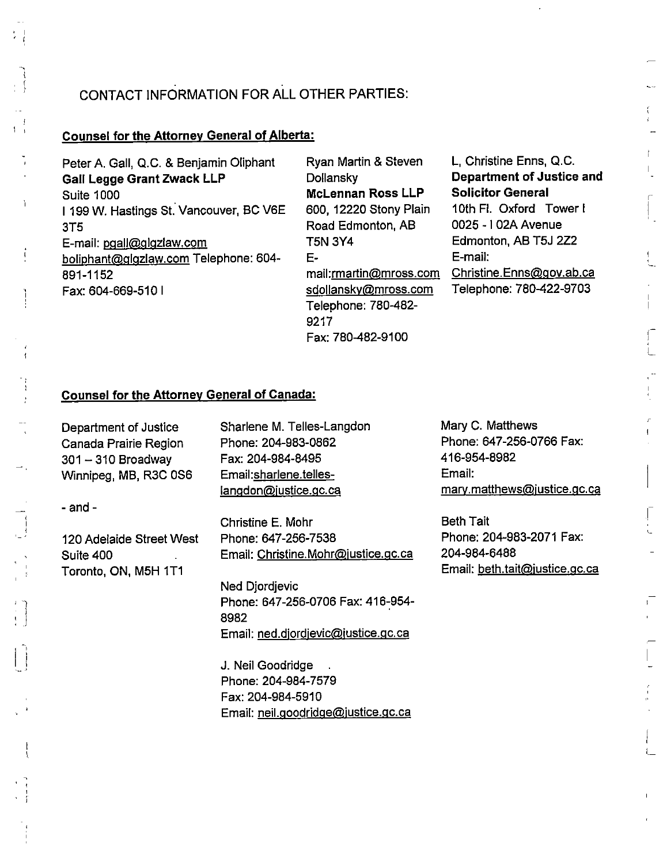# CONTACT INFORMATION FOR ALL OTHER PARTIES:

### Counsel for the Attorney General of Alberta:

Peter A. Gall, Q.C. & Benjamin Oliphant Gall Legge Grant Zwack LLP Suite 1000 I 199 W. Hastings St. Vancouver, BC V6E 3T5 E-mail: pgall@glgzlaw.com boliphant@glgzlaw.com Telephone: 604-891-1152 Fax: 604-669-510 I

Ryan Martin & Steven **Dollansky** McLennan Ross LLP 600, 12220 Stony Plain Road Edmonton, AB T5N 3Y4 Emall:rmartin@mross.com sdollanskv@mross.com Telephone: 780-482- 9217 Fax: 780-482-9100

L, Christine Enns, Q.C. Department of Justice and Solicitor General 10th Fl. Oxford Tower! 0025 -1 02A Avenue Edmonton, AB T5J 2Z2

E-mail: Christine.Enns@aov.ab.ca Telephone: 780-422-9703

# Counsel for the Attorney General of Canada;

Department of Justice Canada Prairie Region  $301 - 310$  Broadway Winnipeg, MB, R3C 0S6

- and -

120 Adelaide Street West Suite 400 Toronto, ON, M5H 1T1

Sharlene M. Telles-Langdon Phone: 204-983-0862 Fax: 204-984-8495 Email:sharlene.telleslangdon@justice.gc.ca

Christine E. Mohr Phone: 647-256-7538 Email: Christine.Mohr@iustice.qc.ca

Ned Djordjevic Phone: 647-256-0706 Fax: 416-954- 8982 Email: ned.djordjevic@justice.gc.ca

J. Neil Goodridge Phone: 204-984-7579 Fax: 204-984-5910 Email: neil.aoodridae@iustice.qc.ca Mary C. Matthews Phone: 647-256-0766 Fax: 416-954-8982 Email: mary.matthews@justice.gc.ca

Beth Tait Phone: 204-983-2071 Fax: 204-984-6488 Email: beth.tait@justice.gc.ca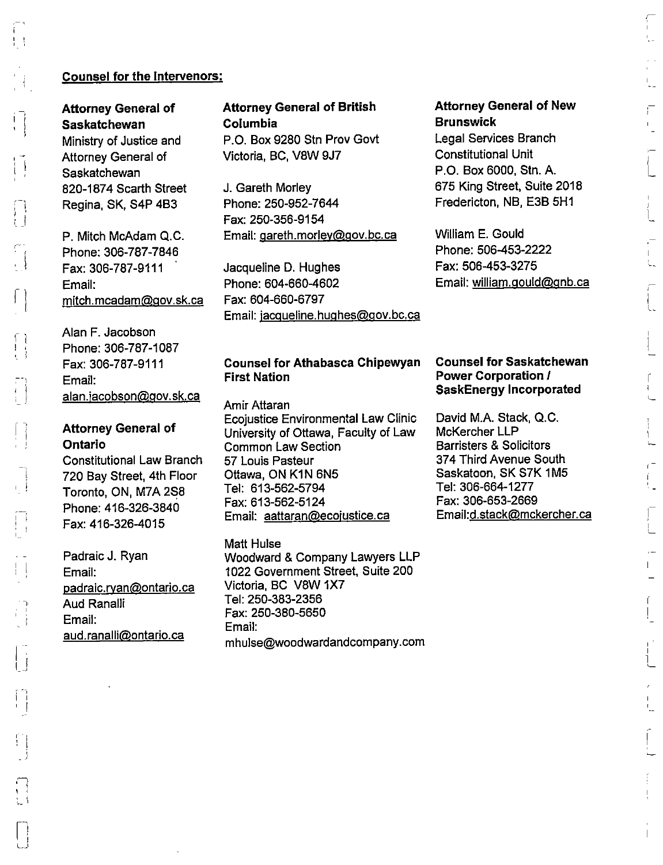# L,

# Counsel for the Intervenors:

Attorney General of Saskatchewan Ministry of Justice and Attorney General of Saskatchewan 820-1874 Scarth Street Regina, SK, S4P 4B3

P. Mitch McAdam Q.C. Phone: 306-787-7846 Fax:306-787-9111 Email: mitch.mcadam@gov.sk.ca

Alan F. Jacobson Phone: 306-787-1087 Fax: 306-787-9111 Email: alan.jacobson@gov.sk.ca

r 1

\* (  $\mathcal{L} \rightarrow$ 

Li

# Attorney General of Ontario

Constitutional Law Branch 720 Bay Street, 4th Floor Toronto, ON, M7A 2S8 Phone:416-326-3840 Fax:416-326-4015

Padraic J. Ryan Email: padraic.ryan@ontario.ca Aud Ranalii Email: aud.ranalli@ontario.ca

# Attorney General of British Columbia

P.O. Box 9280 Stn Prov Govt Victoria, BO, V8W 9J7

J. Gareth Morley Phone: 250-952-7644 Fax: 250-356-9154 Email: Qareth.morlev@Qov.bc.ca

Jacqueline D. Hughes Phone: 604-660-4602 Fax: 604-660-6797 Email: jacqueline.hughes@gov.bc.ca

# Counsel for Athabasca Chipewyan First Nation

Amir Attaran Ecojustice Environmental Law Clinic University of Ottawa, Faculty of Law Common Law Section 57 Louis Pasteur Ottawa, ON KIN 6N5 Tel: 613-562-5794 Fax: 613-562-5124 Email: aattaran@ecojustice.ca

Matt Huise Woodward & Company Lawyers LLP 1022 Government Street, Suite 200 Victoria, BC V8W 1X7 Tel: 250-383-2356 Fax: 250-380-5650 Email: mhulse@woodwardandcompany.com

# Attorney General of New Brunswick

Legal Services Branch Constitutional Unit P.O. Box 6000, Stn. A. 675 King Street, Suite 2018 Fredericton, NB, E3B 5H1

William E. Gould Phone: 506-453-2222 Fax: 506-453-3275 Email: william.gould@gnb.ca

### Counsel for Saskatchewan Power Corporation I SaskEnergy Incorporated

David M.A. Stack, Q.C. McKercher LLP Barristers & Solicitors 374 Third Avenue South Saskatoon, SK S7K 1M5 Tel: 306-664-1277 Fax: 306-653-2669 Emaii:d.stack@mckercher.ca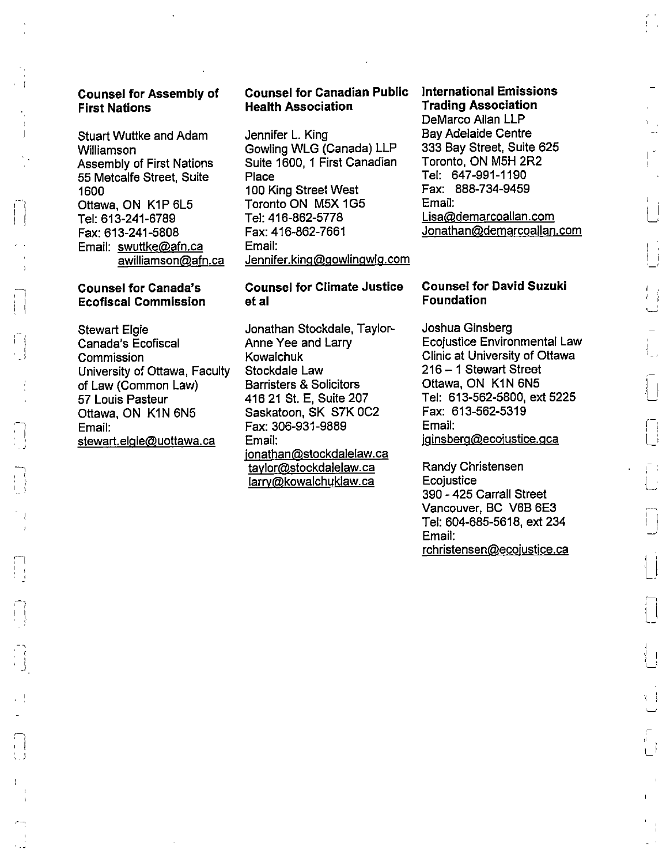### Counsel for Assembly of First Nations

Stuart Wuttke and Adam Williamson Assembly of First Nations 55 Metcalfe Street, Suite 1600 Ottawa. ON K1P 6L5 Tel; 613-241-6789 Fax: 613-241-5808 Email: swuttke@afn.ca awilliamson@afn.ca

### Counsel for Canada's Ecofiscal Commission

. .

<sup>I</sup> 1

j

Stewart Elgie Canada's Ecofiscal **Commission** University of Ottawa, Faculty of Law (Common Law) 57 Louis Pasteur Ottawa. ON K1N 6N5 Email: stewart.elgie@uottawa.ca

# Counsel for Canadian Public Health Association

Jennifer L. King Cowling WLG (Canada) LLP Suite 1600, 1 First Canadian Place 100 King Street West Toronto ON MSX 1G5 Tel: 416-862-5778 Fax:416-862-7661 Email: Jennifer.king@gowlingwlg.com

### Counsel for Climate Justice et ai

Jonathan Stockdale. Taylor-Anne Yee and Larry Kowalchuk Stockdale Law Barristers & Solicitors 416 21 St. E, Suite 207 Saskatoon, SK S7K 0C2 Fax: 306-931-9889 Email: ionathan@stockdalelaw.ca tavlor@stockdalelaw.ca larrv@kowalchuklaw. ca

### international Emissions Trading Association

DeMarco Allan LLP Bay Adelaide Centre 333 Bay Street, Suite 625 Toronto, ON MSH 2R2 Tel: 647-991-1190 Fax: 888-734-9459 Email: Lisa@demarcoallan.com Jonathan@demarcoallan.com

### Counsel for David Suzuki Foundation

Joshua Ginsberg Ecojustice Environmental Law Clinic at University of Ottawa 216-1 Stewart Street Ottawa, ON KIN 6N5 Tel: 613-562-5800, ext 5225 Fax: 613-562-5319 Email: iginsberg@ecojustice.gca

Randy Christensen **Ecojustice** 390 - 425 Carrall Street Vancouver, BC V6B 6E3 Tel: 604-685-5618, ext 234 Email: rchristensen@ecoiustice.ca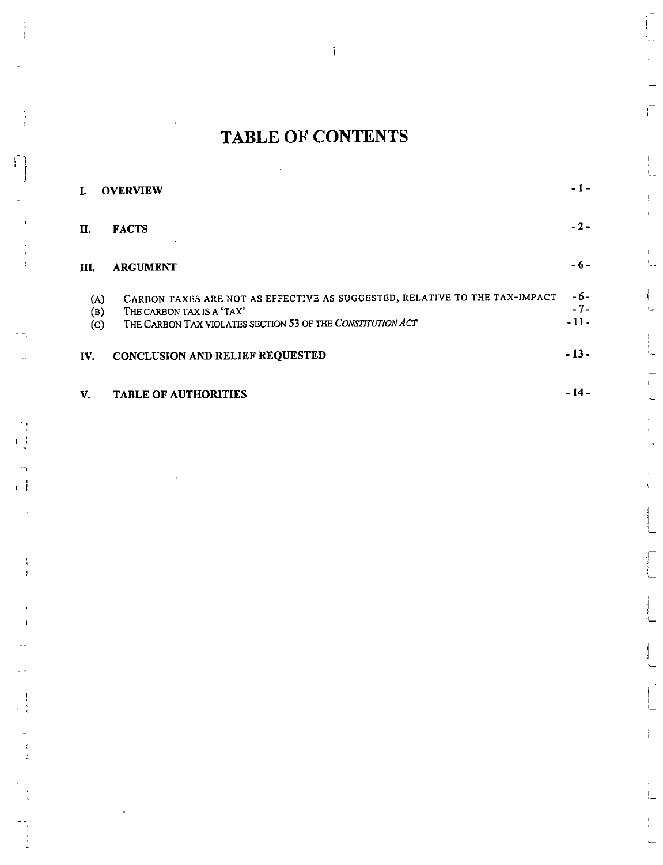# TABLE OF CONTENTS

 $\hat{\mathcal{A}}$ 

 $\mathbf{i}$ 

|                         | <b>OVERVIEW</b>                                                                                                                                                       | - 1 -                  |
|-------------------------|-----------------------------------------------------------------------------------------------------------------------------------------------------------------------|------------------------|
| П.                      | <b>FACTS</b><br>٠                                                                                                                                                     | $-2-$                  |
| Ш.                      | <b>ARGUMENT</b>                                                                                                                                                       | - 6 -                  |
| (A)<br>(B)<br>$\left( $ | CARBON TAXES ARE NOT AS EFFECTIVE AS SUGGESTED, RELATIVE TO THE TAX-IMPACT<br>THE CARBON TAX IS A 'TAX'<br>THE CARBON TAX VIOLATES SECTION 53 OF THE CONSTITUTION ACT | -6-<br>$-7-$<br>$-11-$ |
| IV.                     | <b>CONCLUSION AND RELIEF REQUESTED</b>                                                                                                                                | $-13-$                 |

# V. TABLE OF AUTHORITIES -14 -

r-1

t <sup>I</sup> !

 $\hat{\mathbf{L}}$ 

 $\begin{bmatrix} 1 \\ 1 \end{bmatrix}$ Ų.

Ē

L.

Г.,

 $\mathsf{L}$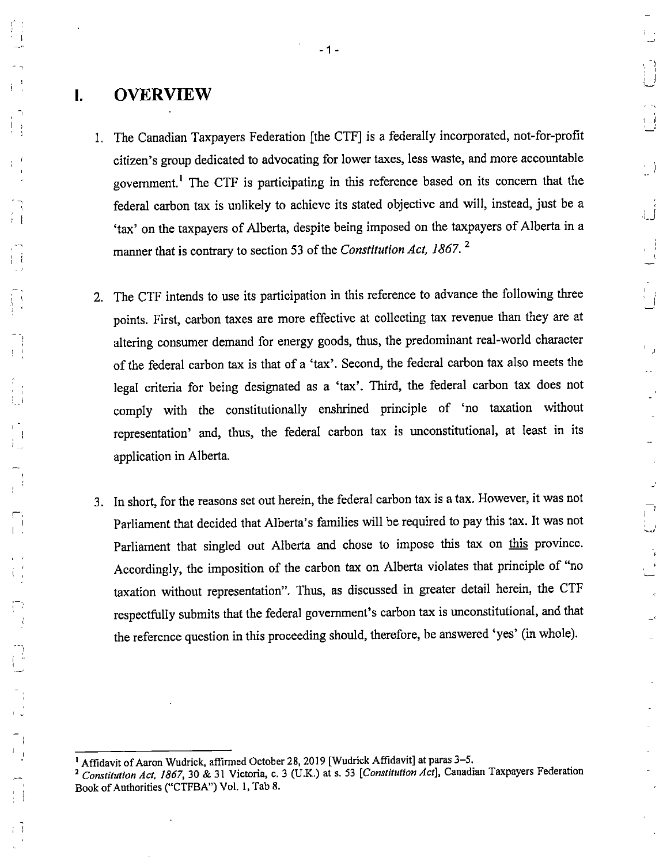# I. OVERVIEW

1. The Canadian Taxpayers Federation [the OTP] is a federally incorporated, not-for-profit citizen's group dedicated to advocating for lower taxes, less waste, and more accountable government.\* The CTF is participating in this reference based on its concern that the federal carbon tax is unlikely to achieve its stated objective and will, instead, just be a 'tax' on the taxpayers of Alberta, despite being imposed on the taxpayers of Alberta in a manner that is contrary to section 53 of the Constitution Act, 1867. $^2$ 

 $\left(\begin{array}{c} 1 \\ -1 \end{array}\right)$ 

- 2. The CTF intends to use its participation in this reference to advance the following three points. First, carbon taxes are more effective at collecting tax revenue than they are at altering consumer demand for energy goods, thus, the predominant real-world character of the federal carbon tax is that of a 'tax'. Second, the federal carbon tax also meets the legal criteria for being designated as a 'tax'. Third, the federal carbon tax does not comply with the constitutionally enshrined principle of 'no taxation without representation' and, thus, the federal carbon tax is unconstitutional, at least in its application in Alberta.
- 3. In short, for the reasons set out herein, the federal carbon tax is a tax. However, it was not Parliament that decided that Alberta's families will be required to pay this tax. It was not Parliament that singled out Alberta and chose to impose this tax on this province. Accordingly, the imposition of the carbon tax on Alberta violates that principle of "no taxation without representation". Thus, as discussed in greater detail herein, the CTF respectfully submits that the federal government's carbon tax is unconstitutional, and that the reference question in this proceeding should, therefore, be answered 'yes' (in whole).

<sup>&#</sup>x27; Affidavit of Aaron Wudrick, affirmed October 28, 2019 [Wudrick Affidavit] at paras 3-5.

<sup>&</sup>lt;sup>2</sup> Constitution Act, 1867, 30 & 31 Victoria, c. 3 (U.K.) at s. 53 [Constitution Act], Canadian Taxpayers Federation Book of Authorities ("CTFBA") Vol. 1, Tab 8.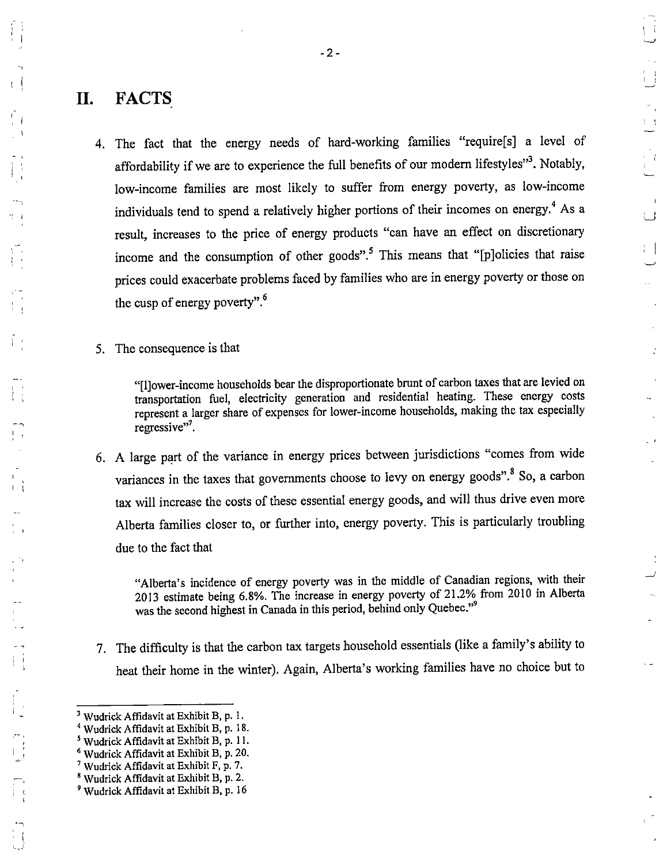# II. FACTS

4. The fact that the energy needs of hard-working families "require[s] a level of affordability if we are to experience the full benefits of our modern lifestyles"<sup>3</sup>. Notably, low-income families are most likely to suffer from energy poverty, as low-income individuals tend to spend a relatively higher portions of their incomes on energy.<sup>4</sup> As a result, increases to the price of energy products "can have an effect on discretionary income and the consumption of other goods".<sup>5</sup> This means that "[p]olicies that raise prices could exacerbate problems faced by families who are in energy poverty or those on the cusp of energy poverty".<sup>6</sup>

 $\left| \cdot \right|$ 

 $\frac{1}{\sigma}$ 

 $\mathbf{r}$ 

5. The consequence is that

"[IJower-income households bear the disproportionate brunt of carbon taxes that are levied on transportation fuel, electricity generation and residential heating. These energy costs represent a larger share of expenses for lower-income households, making the tax especially regressive"'.

6. A large part of the variance in energy prices between jurisdictions "comes from wide variances in the taxes that governments choose to levy on energy goods".<sup>8</sup> So, a carbon tax will increase the costs of these essential energy goods, and will thus drive even more Alberta families closer to, or further into, energy poverty. This is particularly troubling due to the fact that

"Alberta's incidence of energy poverty was in the middle of Canadian regions, with their 2013 estimate being 6.8%. The increase in energy poverty of 21.2% from 2010 in Alberta was the second highest in Canada in this period, behind only Quebec."<sup>9</sup>

7. The difficulty is that the carbon tax targets household essentials (like a family's ability to heat their home in the winter). Again, Alberta's working families have no choice but to

 $3$  Wudrick Affidavit at Exhibit B, p. 1.

<sup>&</sup>lt;sup>4</sup> Wudrick Affidavit at Exhibit B, p. 18.

<sup>&</sup>lt;sup>5</sup> Wudrick Affidavit at Exhibit B, p. 11.

<sup>&</sup>lt;sup>6</sup> Wudrick Affidavit at Exhibit B, p. 20.

Wudrick Affidavit at Exhibit F, p. 7.

<sup>®</sup> Wudrick Affidavit at Exhibit B, p. 2.

<sup>&#</sup>x27; Wudrick Affidavit at Exhibit B, p. 16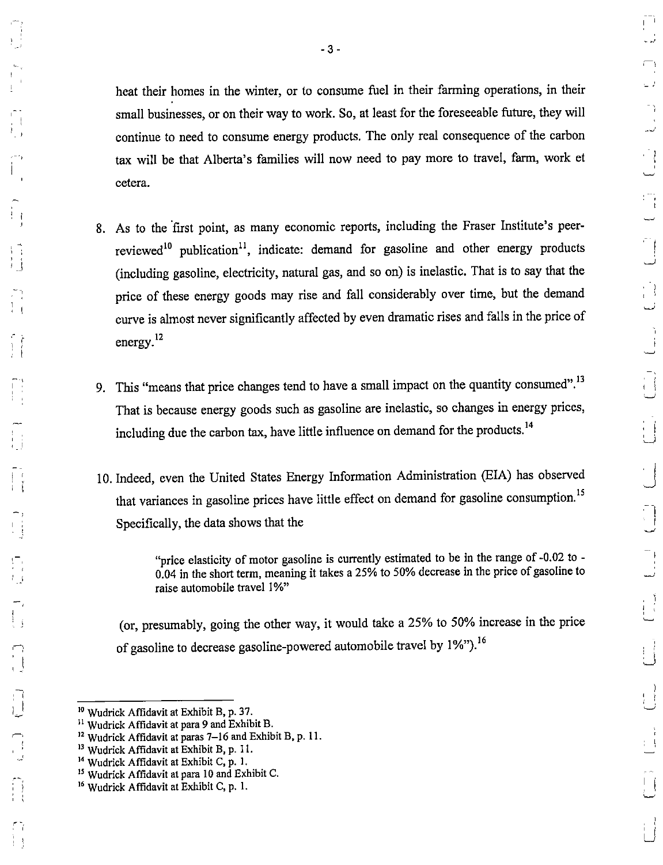heat their homes in the winter, or to consume fuel in their farming operations, in their small businesses, or on their way to work. So, at least for the foreseeable future, they will continue to need to consume energy products. The only real consequence of the carbon tax will be that Alberta's families will now need to pay more to travel, farm, work et cetera.

- 8. As to the first point, as many economic reports, including the Fraser Institute's peerreviewed<sup>10</sup> publication<sup>11</sup>, indicate: demand for gasoline and other energy products (including gasoline, electricity, natural gas, and so on) is inelastic. That is to say that the price of these energy goods may rise and fall considerably over time, but the demand curve is almost never significantly affected by even dramatic rises and falls in the price of energy. $^{12}$
- 9. This "means that price changes tend to have a small impact on the quantity consumed".<sup>13</sup> That is because energy goods such as gasoline are inelastic, so changes in energy prices, including due the carbon tax, have little influence on demand for the products.<sup>14</sup>
- 10. Indeed, even the United States Energy Information Administration (ElA) has observed that variances in gasoline prices have little effect on demand for gasoline consumption.<sup>15</sup> Specifically, the data shows that the

"price elasticity of motor gasoline is currently estimated to be in the range of -0.02 to - 0.04 in the short term, meaning it takes a 25% to 50% decrease in the price of gasoline to raise automobile travel 1%"

(or, presumably, going the other way, it would take a 25% to 50% increase in the price of gasoline to decrease gasoline-powered automobile travel by 1%").<sup>16</sup>

<sup>I</sup> I

Wudrick Affidavit at Exhibit B, p. 37.

<sup>&</sup>lt;sup>11</sup> Wudrick Affidavit at para 9 and Exhibit B.

<sup>&</sup>lt;sup>12</sup> Wudrick Affidavit at paras 7-16 and Exhibit B, p. 11.

<sup>&</sup>lt;sup>13</sup> Wudrick Affidavit at Exhibit B, p. 11.

<sup>&</sup>lt;sup>14</sup> Wudrick Affidavit at Exhibit C, p. 1.

<sup>&</sup>lt;sup>15</sup> Wudrick Affidavit at para 10 and Exhibit C.

<sup>&</sup>lt;sup>16</sup> Wudrick Affidavit at Exhibit C, p. 1.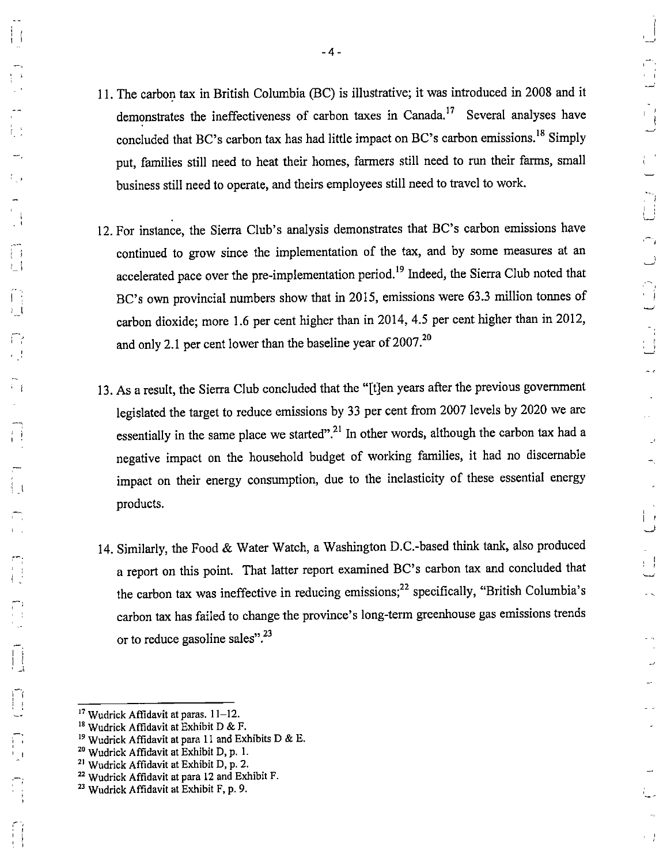- 11. The carbon tax in British Columbia (BC) is illustrative; it was introduced in 2008 and it demonstrates the ineffectiveness of carbon taxes in Canada.<sup>17</sup> Several analyses have concluded that BC's carbon tax has had little impact on BC's carbon emissions.<sup>18</sup> Simply put, families still need to heat their homes, farmers still need to run their farms, small business still need to operate, and theirs employees still need to travel to work,
- 12. For instance, the Sierra Club's analysis demonstrates that BC's carbon emissions have continued to grow since the implementation of the tax, and by some measures at an accelerated pace over the pre-implementation period.<sup>19</sup> Indeed, the Sierra Club noted that BC's own provincial numbers show that in 2015, emissions were 63.3 million tonnes of carbon dioxide; more 1.6 per cent higher than in 2014, 4.5 per cent higher than in 2012, and only 2.1 per cent lower than the baseline year of  $2007.^{20}$
- 13. As a result, the Sierra Club concluded that the "[t]en years after the previous government legislated the target to reduce emissions by 33 per cent from 2007 levels by 2020 we are essentially in the same place we started".<sup>21</sup> In other words, although the carbon tax had a negative impact on the household budget of working families, it had no discemable impact on their energy consumption, due to the inelasticity of these essential energy products.
- 14. Similarly, the Food & Water Watch, a Washington D.C.-based think tank, also produced a report on this point. That latter report examined BC's carbon tax and concluded that the carbon tax was ineffective in reducing emissions;<sup>22</sup> specifically, "British Columbia's carbon tax has failed to change the province's long-term greenhouse gas emissions trends or to reduce gasoline sales".<sup>23</sup>

I S

! <sup>I</sup>

<sup>&</sup>lt;sup>17</sup> Wudrick Affidavit at paras. 11-12.

<sup>&</sup>lt;sup>18</sup> Wudrick Affidavit at Exhibit D & F.

<sup>&</sup>lt;sup>19</sup> Wudrick Affidavit at para 11 and Exhibits D & E.

<sup>&</sup>lt;sup>20</sup> Wudrick Affidavit at Exhibit D, p. 1.

Wudrick Affidavit at Exhibit D, p. 2.

Wudrick Affidavit at para 12 and Exhibit F.

<sup>&</sup>lt;sup>23</sup> Wudrick Affidavit at Exhibit F, p. 9.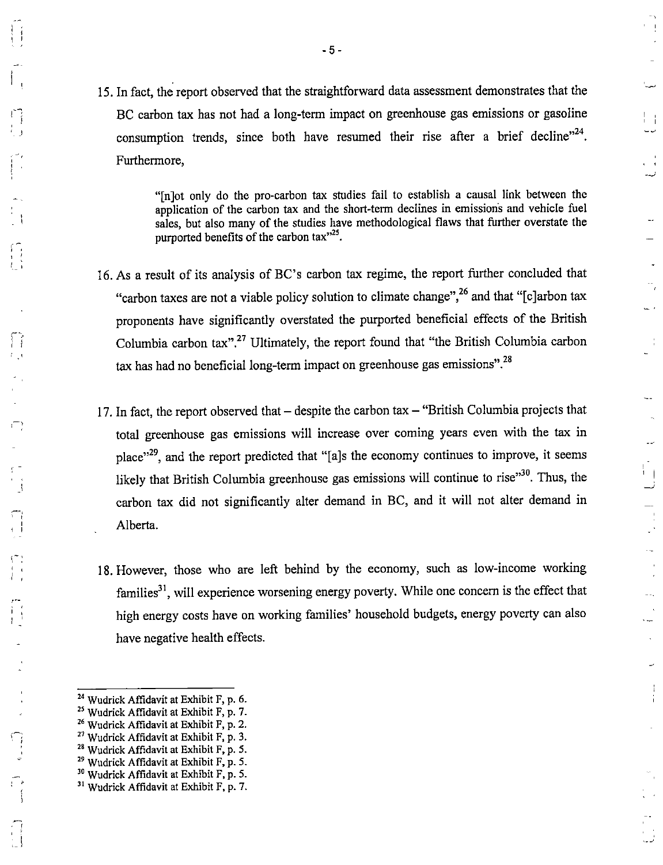15. In fact, the report observed that the straightforward data assessment demonstrates that the BC carbon tax has not had a long-term impact on greenhouse gas emissions or gasoline consumption trends, since both have resumed their rise after a brief decline"<sup>24</sup>. Furthermore,

> "[n]ot only do the pro-carbon tax studies fail to establish a causal link between the application of the carbon tax and the short-term declines in emissions and vehicle fuel sales, but also many of the studies have methodological flaws that further overstate the purported benefits of the carbon tax $^{325}$ .

 $\begin{smallmatrix}1&&1\\1&&1\end{smallmatrix}$ 

εÎ

 $\overline{a}$ 

 $\frac{1}{4}$ 

 $\ddotsc$ 

 $\mathbf{L}$ 

 $\bar{\omega}$  $\bar{r}$ 

 $\dots$ 

سيدة

Ĵ.

- 16. As a result of its analysis of BC's carbon tax regime, the report further concluded that "carbon taxes are not a viable policy solution to climate change",<sup>26</sup> and that " $[c]$ arbon tax proponents have significantly overstated the purported beneficial effects of the British Columbia carbon tax".<sup>27</sup> Ultimately, the report found that "the British Columbia carbon  $\tau$  tax has had no beneficial long-term impact on greenhouse gas emissions".<sup>28</sup>
	- 17. In fact, the report observed that  $-$  despite the carbon tax  $-$  "British Columbia projects that total greenhouse gas emissions will increase over coming years even with the tax in place"<sup>29</sup>, and the report predicted that "[a]s the economy continues to improve, it seems likely that British Columbia greenhouse gas emissions will continue to rise $^{980}$ . Thus, the carbon tax did not significantly alter demand in BC, and it will not alter demand in Alberta.
	- 18. However, those who are left behind by the economy, such as low-income working families<sup>31</sup>, will experience worsening energy poverty. While one concern is the effect that high energy costs have on working families' household budgets, energy poverty can also have negative health effects.

j

'

'

I I  $1 - \frac{1}{2}$ 

<sup>I</sup> '

I I

i

<sup>&</sup>lt;sup>24</sup> Wudrick Affidavit at Exhibit F, p. 6.

 $25$  Wudrick Affidavit at Exhibit F, p. 7.

<sup>&</sup>lt;sup>26</sup> Wudrick Affidavit at Exhibit F, p. 2.

 $27$  Wudrick Affidavit at Exhibit F, p. 3.

 $28$  Wudrick Affidavit at Exhibit F, p. 5.

<sup>&</sup>lt;sup>29</sup> Wudrick Affidavit at Exhibit F, p. 5.

<sup>&</sup>lt;sup>30</sup> Wudrick Affidavit at Exhibit F, p. 5.

<sup>&</sup>lt;sup>31</sup> Wudrick Affidavit at Exhibit F, p. 7.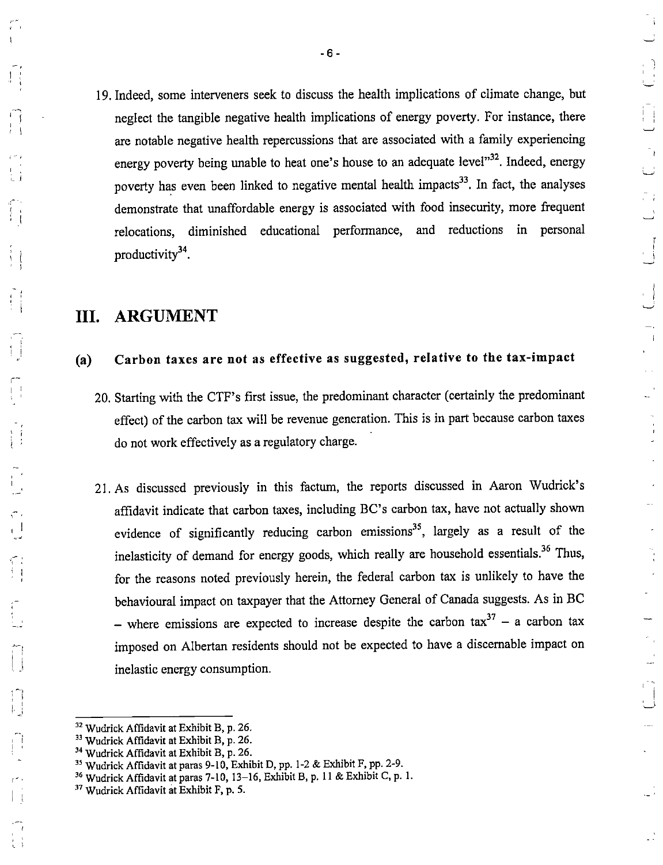19. Indeed, some interveners seek to discuss the health implications of climate change, but neglect the tangible negative health implications of energy poverty. For instance, there are notable negative health repercussions that are associated with a family experiencing energy poverty being unable to heat one's house to an adequate level"<sup>32</sup>. Indeed, energy poverty has even been linked to negative mental health impacts<sup>33</sup>. In fact, the analyses demonstrate that unaffordable energy is associated with food insecurity, more frequent relocations, diminished educational performance, and reductions in personal productivity $3^4$ .

 $\begin{smallmatrix}1&&1\\1&&1\\1&&1\end{smallmatrix}$ 

 $\pm$ 

 $\mathbb{R}^3$ 

 $\frac{1}{4}$ 

 $\mathcal{A}$ 

# III. ARGUMENT

 $\mathbf{I}$  ; '' ''

I I

■ !

 $~\tilde{}$  !

<sup>i</sup>' '

r~ '

^ i

# (a) Carbon taxes are not as effective as suggested, relative to the tax-impact

- 20. Starting with the OTP's first issue, the predominant character (certainly the predominant effect) of the carbon tax will be revenue generation. This is in part because carbon taxes do not work effectively as a regulatory charge.
- 21. As discussed previously in this factum, the reports discussed in Aaron Wudrick's affidavit indicate that carbon taxes, including EC's carbon tax, have not actually shown evidence of significantly reducing carbon emissions<sup>35</sup>, largely as a result of the inelasticity of demand for energy goods, which really are household essentials. $36$  Thus, for the reasons noted previously herein, the federal carbon tax is unlikely to have the behavioural impact on taxpayer that the Attorney General of Canada suggests. As in EC – where emissions are expected to increase despite the carbon tax  $3^7$  – a carbon tax imposed on Albertan residents should not be expected to have a discemable impact on inelastic energy consumption.

<sup>32</sup> Wudrick Affidavit at Exhibit B, p. 26.

<sup>&</sup>lt;sup>33</sup> Wudrick Affidavit at Exhibit B, p. 26.

<sup>&</sup>lt;sup>34</sup> Wudrick Affidavit at Exhibit B, p. 26.

<sup>&</sup>lt;sup>35</sup> Wudrick Affidavit at paras 9-10, Exhibit D, pp. 1-2 & Exhibit F, pp. 2-9.

<sup>&</sup>lt;sup>36</sup> Wudrick Affidavit at paras 7-10, 13-16, Exhibit B, p. 11 & Exhibit C, p. 1.

<sup>&</sup>lt;sup>37</sup> Wudrick Affidavit at Exhibit F, p. 5.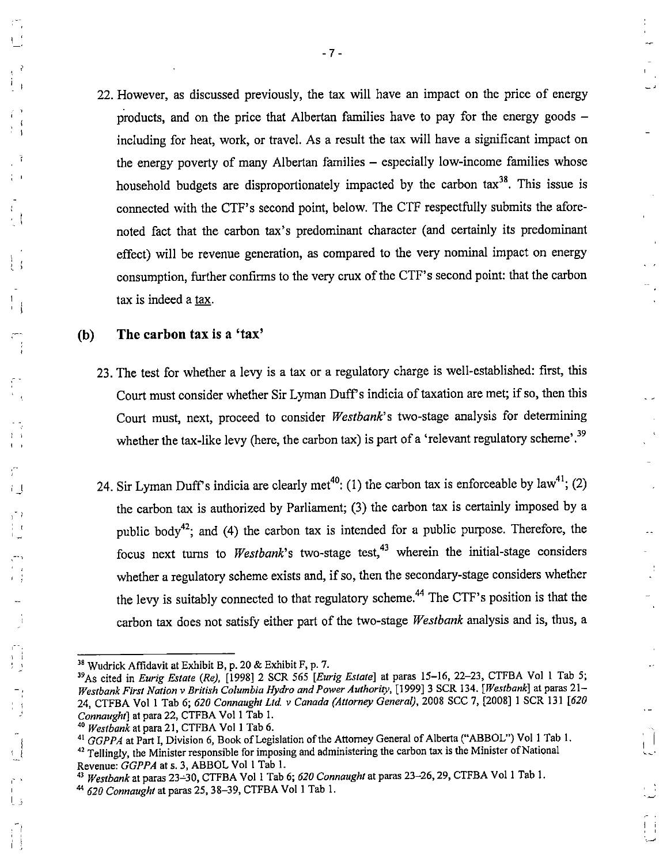22. However, as discussed previously, the tax will have an impact on the price of energy products, and on the price that Albertan families have to pay for the energy goods including for heat, work, or travel. As a result the tax will have a significant impact on the energy poverty of many Albertan families – especially low-income families whose household budgets are disproportionately impacted by the carbon  $\text{tax}^{38}$ . This issue is connected with the CTF's second point, below. The CTF respectfully submits the aforenoted fact that the carbon tax's predominant character (and certainly its predominant effect) will be revenue generation, as compared to the very nominal impact on energy consumption, further confirms to the very crux of the CTF's second point: that the carbon tax is indeed a tax.

# (b) The carbon tax is a 'tax'

- 23. The test for whether a levy is a tax or a regulatory charge is well-established: first, this Court must consider whether Sir Lyman Duff's indicia of taxation are met; if so, then this Court must, next, proceed to consider Westbank's two-stage analysis for determining whether the tax-like levy (here, the carbon tax) is part of a 'relevant regulatory scheme'.<sup>39</sup>
- 24. Sir Lyman Duff's indicia are clearly met<sup>40</sup>: (1) the carbon tax is enforceable by  $law^{41}$ ; (2) the carbon tax is authorized by Parliament; (3) the carbon tax is certainly imposed by a public body<sup>42</sup>; and (4) the carbon tax is intended for a public purpose. Therefore, the focus next turns to Westbank's two-stage test,  $43$  wherein the initial-stage considers whether a regulatory scheme exists and, if so, then the secondary-stage considers whether the levy is suitably connected to that regulatory scheme.<sup>44</sup> The CTF's position is that the carbon tax does not satisfy either part of the two-stage Westbank analysis and is, thus, a

 $\bar{z}$ 

ш.

 $\frac{1}{4}$ 

 $\frac{1}{1}$ 

) <sup>I</sup>

 $\pm$ 

'

 $38$  Wudrick Affidavit at Exhibit B, p. 20 & Exhibit F, p. 7.

<sup>&</sup>lt;sup>39</sup>As cited in *Eurig Estate (Re)*, [1998] 2 SCR 565 [*Eurig Estate*] at paras 15–16, 22–23, CTFBA Vol 1 Tab 5; Westbank First Nation v British Columbia Hydro and Power Authority, [1999] 3 SCR 134. [Westbank] at paras 21-24, CTFBA Vol 1 Tab 6; 620 Connaught Ltd. v Canada (Attorney General), 2008 SCC 7, [2008] 1 SCR 131 [620 Connaught] at para 22, CTFBA Vol 1 Tab 1.

<sup>&</sup>lt;sup>40</sup> Westbank at para 21, CTFBA Vol 1 Tab 6.

<sup>&</sup>lt;sup>41</sup> GGPPA at Part I, Division 6, Book of Legislation of the Attorney General of Alberta ("ABBOL") Vol 1 Tab 1. <sup>42</sup> Tellingly, the Minister responsible for imposing and administering the carbon tax is the Minister of National

Revenue: GGPPA at s. 3, ABBOL Vol 1 Tab 1.

Westbank at paras 23-30, CTFBA Vol 1 Tab 6; 620 Connaught at paras 23-26, 29, CTFBA Vol 1 Tab 1.

 $^{44}$  620 Connaught at paras 25, 38-39, CTFBA Vol 1 Tab 1.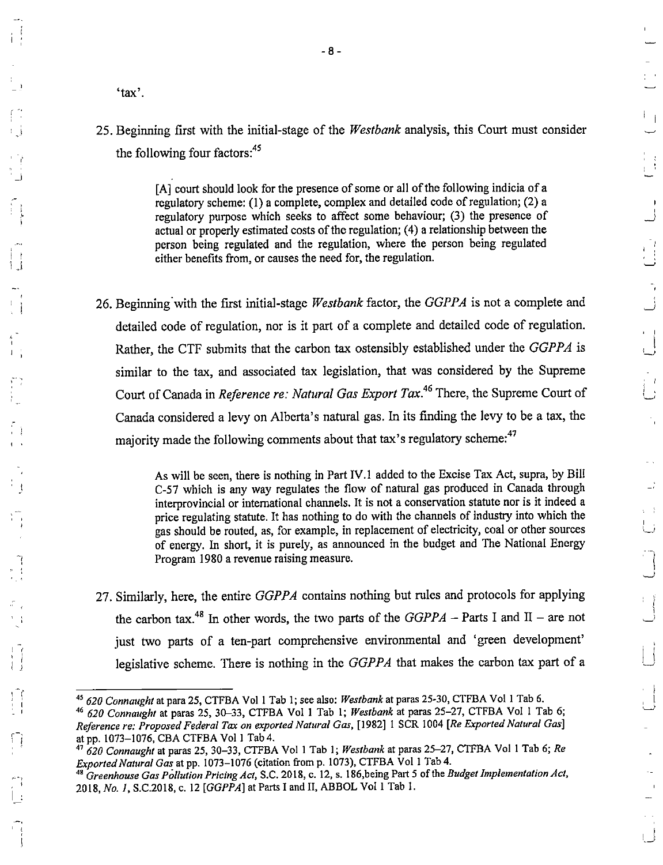$\mathsf{L}_\perp$  $\Box^{\dagger}$  $\mathbf{r}$ 

'tax'.

! <sup>1</sup> • >

<sup>I</sup> f

! J

'

'

# 25. Beginning first with the initial-stage of the *Westbank* analysis, this Court must consider the following four factors:<sup>45</sup>

[A] court should look for the presence of some or all of the following indicia of a regulatory scheme: (1) a complete, complex and detailed code of regulation; (2) a regulatory purpose which seeks to affect some behaviour; (3) the presence of actual or properly estimated costs of the regulation; (4) a relationship between the person being regulated and the regulation, where the person being regulated either benefits from, or causes the need for, the regulation.

26. Beginning with the first initial-stage Westbank factor, the GGPPA is not a complete and detailed code of regulation, nor is it part of a complete and detailed code of regulation. Rather, the CTF submits that the carbon tax ostensibly established under the GGPPA is similar to the tax, and associated tax legislation, that was considered by the Supreme Court of Canada in Reference re: Natural Gas Export Tax.<sup>46</sup> There, the Supreme Court of Canada considered a levy on Alberta's natural gas. In its finding the levy to be a tax, the majority made the following comments about that tax's regulatory scheme:<sup>47</sup>

> As will be seen, there is nothing in Part IV. 1 added to the Excise Tax Act, supra, by Bill j C-57 which is any way regulates the flow of natural gas produced in Canada through interprovincial or international channels. It is not a conservation statute nor is it indeed a price regulating statute. It has nothing to do with the channels of industry into which the gas should be routed, as, for example, in replacement of electricity, coal or other sources of energy. In short, it is purely, as announced in the budget and The National Energy Program 1980 a revenue raising measure.

27. Similarly, here, the entire GGPPA contains nothing but rules and protocols for applying the carbon tax.<sup>48</sup> In other words, the two parts of the  $GGPPA$  - Parts I and II - are not just two parts of a ten-part comprehensive environmental and 'green development' legislative scheme. There is nothing in the  $GGPPA$  that makes the carbon tax part of a

<sup>&</sup>lt;sup>45</sup> 620 Connaught at para 25, CTFBA Vol 1 Tab 1; see also: Westbank at paras 25-30, CTFBA Vol 1 Tab 6.

<sup>&</sup>lt;sup>46</sup> 620 Connaught at paras 25, 30-33, CTFBA Vol 1 Tab 1; Westbank at paras 25-27, CTFBA Vol 1 Tab 6; Reference re: Proposed Federal Tax on exported Natural Gas, [1982] 1 SCR 1004 [Re Exported Natural Gas] at pp. 1073-1076, CBA CTFBA Vol 1 Tab4.

 $47620$  Connaught at paras 25, 30-33, CTFBA Vol 1 Tab 1; Westbank at paras 25-27, CTFBA Vol 1 Tab 6; Re Exported Natural Gas at pp. 1073-1076 (citation from p. 1073), CTFBA Vol 1 Tab 4.

Greenhouse Gas Pollution Pricing Act, S.C. 2018, c. 12, s. 186,being Part 5 of the Budget Implementation Act, 2018, No. /, S.C.2018, c. 12 [GGPPA] at Parts I and II, ABBOL Vol I Tab I.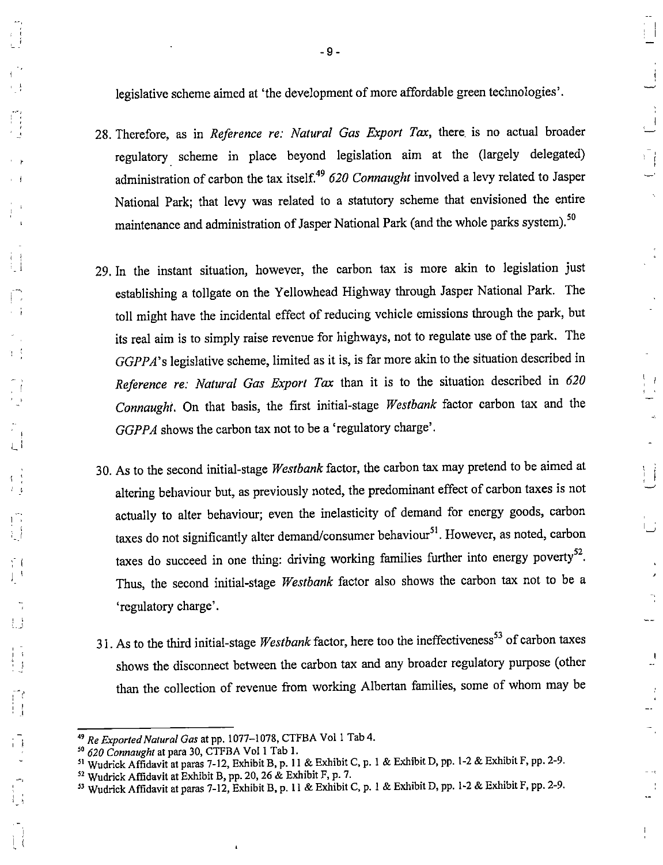legislative scheme aimed at 'the development of more affordable green technologies'.

28. Therefore, as in Reference re: Natural Gas Export Tax, there is no actual broader regulatory scheme in place beyond legislation aim at the (largely delegated) administration of carbon the tax itself.<sup>49</sup> 620 Connaught involved a levy related to Jasper National Park; that levy was related to a statutory scheme that envisioned the entire maintenance and administration of Jasper National Park (and the whole parks system).<sup>50</sup>

 $\sqrt{-}$ 

 $\overline{\phantom{a}}$  $\overline{\phantom{a}}$ 

> $\mathbf{I}$ μĴ

- 29. In the instant situation, however, the carbon tax is more akin to legislation just establishing a tollgate on the Yellowhead Highway through Jasper National Park. The toll might have the incidental effect of reducing vehicle emissions through the park, but its real aim is to simply raise revenue for highways, not to regulate use of the park. The GGPPA's legislative scheme, limited as it is, is far more akin to the situation described in Reference re: Natural Gas Export Tax than it is to the situation described in 620 Connaught. On that basis, the first initial-stage Westbank factor carbon tax and the GGPPA shows the carbon tax not to be a 'regulatory charge'.
- 30. As to the second initial-stage Westbank factor, the carbon tax may pretend to be aimed at altering behaviour but, as previously noted, the predominant effect of carbon taxes is not actually to alter behaviour; even the inelasticity of demand for energy goods, carbon taxes do not significantly alter demand/consumer behaviour $^{51}$ . However, as noted, carbon taxes do succeed in one thing: driving working families further into energy poverty<sup>52</sup>. Thus, the second initial-stage Westbank factor also shows the carbon tax not to be a 'regulatory charge'.
- 31. As to the third initial-stage Westbank factor, here too the ineffectiveness<sup>53</sup> of carbon taxes shows the disconnect between the carbon tax and any broader regulatory purpose (other than the collection of revenue from working Albertan families, some of whom may be

<sup>&</sup>lt;sup>49</sup> Re Exported Natural Gas at pp. 1077-1078, CTFBA Vol 1 Tab 4.

 $50 - 620$  Connaught at para 30, CTFBA Vo! 1 Tab 1.

Wudrick Affidavit at paras 7-12, Exhibit B, p. 11 & Exhibit C, p. 1 & Exhibit D, pp. 1-2 & Exhibit F, pp. 2-9.

 $52$  Wudrick Affidavit at Exhibit B, pp. 20, 26 & Exhibit F, p. 7.

<sup>&</sup>lt;sup>53</sup> Wudrick Affidavit at paras 7-12, Exhibit B, p. 11 & Exhibit C, p. 1 & Exhibit D, pp. 1-2 & Exhibit F, pp. 2-9.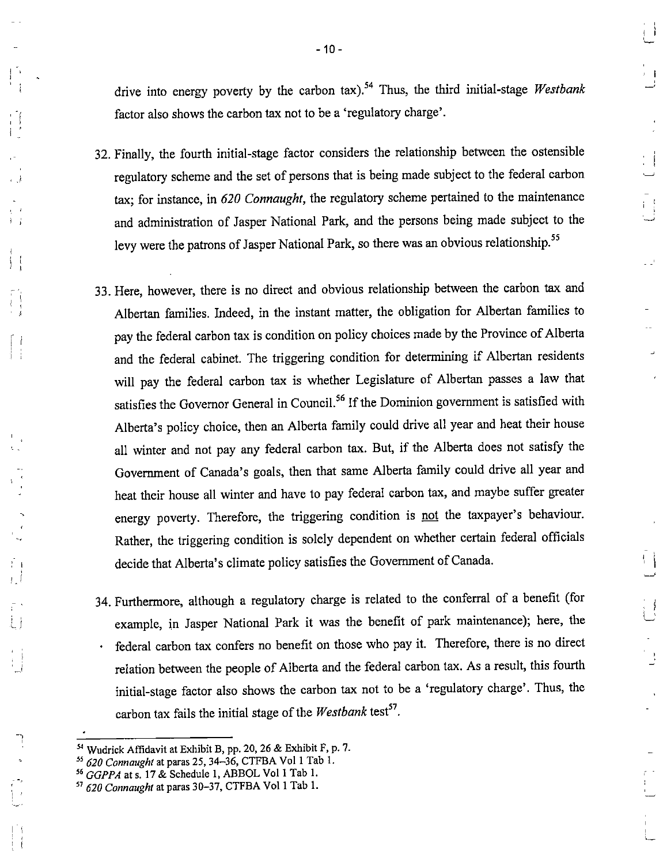drive into energy poverty by the carbon tax).<sup>54</sup> Thus, the third initial-stage Westbank factor also shows the carbon tax not to be a 'regulatory charge'.

 $\left| \cdot \right|$ 

 $\begin{array}{c} \begin{array}{c} \begin{array}{c} \end{array} \\ \begin{array}{c} \end{array} \end{array}$ 

 $\begin{smallmatrix}1\\1\\1\end{smallmatrix}$ 

 $\left\vert \cdot\right\vert$ 

- 32. Finally, the fourth initial-stage factor considers the relationship between the ostensible regulatory scheme and the set of persons that is being made subject to the federal carbon tax; for instance, in 620 Comaught, the regulatory scheme pertained to the maintenance and administration of Jasper National Park, and the persons being made subject to the levy were the patrons of Jasper National Park, so there was an obvious relationship.<sup>55</sup>
- 33. Here, however, there is no direct and obvious relationship between the carbon tax and Albertan families. Indeed, in the instant matter, the obligation for Albertan families to pay the federal carbon tax is condition on policy choices made by the Province of Alberta and the federal cabinet. The triggering condition for determining if Albertan residents will pay the federal carbon tax is whether Legislature of Albertan passes a law that satisfies the Governor General in Council.<sup>56</sup> If the Dominion government is satisfied with Alberta's policy choice, then an Alberta family could drive all year and heat their house all winter and not pay any federal carbon tax. But, if the Alberta does not satisfy the Government of Canada's goals, then that same Alberta family could drive all year and heat their house all winter and have to pay federal carbon tax, and maybe suffer greater energy poverty. Therefore, the triggering condition is not the taxpayer's behaviour. Rather, the triggering condition is solely dependent on whether certain federal officials decide that Alberta's climate policy satisfies the Government of Canada.
- 34. Furthermore, although a regulatory charge is related to the conferral of a benefit (for example, in Jasper National Park it was the benefit of park maintenance); here, the • federal carbon tax confers no benefit on those who pay it. Therefore, there is no direct relation between the people of Alberta and the federal carbon tax. As a result, this fourth initial-stage factor also shows the carbon tax not to be a 'regulatory charge'. Thus, the carbon tax fails the initial stage of the Westbank test<sup>57</sup>.

<sup>I</sup> f

 $\frac{1}{4}$  .

Wudrick Affidavit at Exhibit B, pp. 20,26 & Exhibit F, p. 7.

<sup>620</sup> Connaught at paras 25, 34-36, CTFBA Vol 1 Tab 1.

 $^{56}$  GGPPA at s. 17 & Schedule 1, ABBOL Vol 1 Tab 1.

<sup>620</sup> Connaught at paras 30-37, CTFBA Vol 1 Tab 1.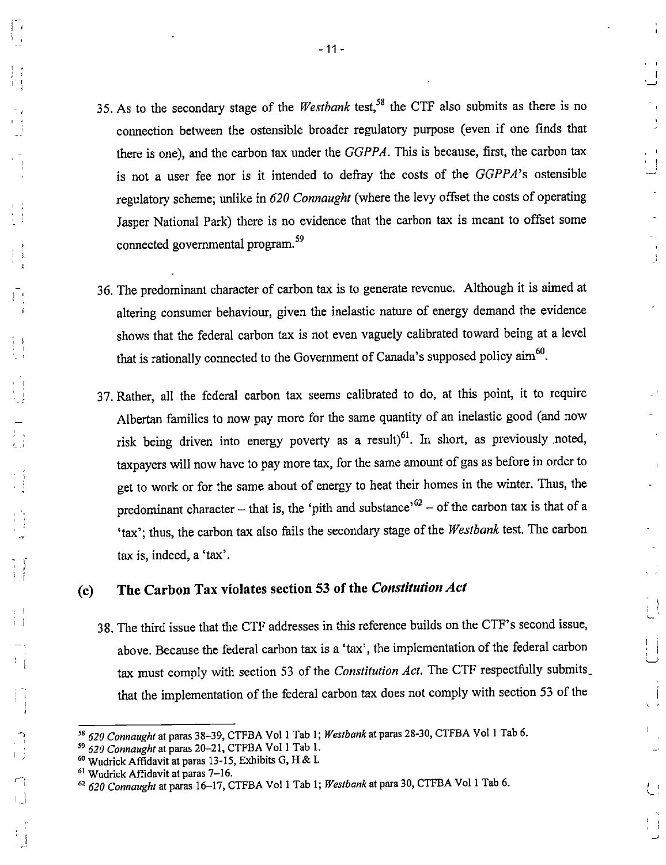35. As to the secondary stage of the Westbank test,<sup>58</sup> the CTF also submits as there is no connection between the ostensible broader regulatory purpose (even if one finds that there is one), and the carbon tax under the GGPPA. This is because, first, the carbon tax is not a user fee nor is it intended to defray the costs of the GGPPA's ostensible regulatory scheme; unlike in 620 Connaught (where the levy offset the costs of operating Jasper National Park) there is no evidence that the carbon tax is meant to offset some connected governmental program. $^{59}$ 

 $\bigcup$ 

 $\frac{3}{2}$ 

- 36. The predominant character of carbon tax is to generate revenue. Although it is aimed at altering consumer behaviour, given the inelastic nature of energy demand the evidence shows that the federal carbon tax is not even vaguely calibrated toward being at a level that is rationally connected to the Government of Canada's supposed policy aim<sup>60</sup>.
- 37. Rather, all the federal carbon tax seems calibrated to do, at this point, it to require Albertan families to now pay more for the same quantity of an inelastic good (and now risk being driven into energy poverty as a result) $^{61}$ . In short, as previously noted, taxpayers will now have to pay more tax, for the same amount of gas as before in order to get to work or for the same about of energy to heat their homes in the winter. Thus, the predominant character - that is, the 'pith and substance'<sup> $62$ </sup> - of the carbon tax is that of a 'tax'; thus, the carbon tax also fails the secondary stage of the Westbank test. The carbon tax is, indeed, a 'tax'.

# (c) The Carbon Tax violates section 53 of the Constitution Act

38. The third issue that the CTF addresses in this reference builds on the CTF's second issue, above. Because the federal carbon tax is a 'tax', the implementation of the federal carbon tax must comply with section 53 of the Constitution Act. The CTF respectfully submits. that the implementation of the federal carbon tax does not comply with section 53 of the

<sup>&</sup>lt;sup>58</sup> 620 Connaught at paras 38-39, CTFBA Vol 1 Tab 1; Westbank at paras 28-30, CTFBA Vol 1 Tab 6.

<sup>620</sup> Connaught at paras 20-21, CTFBA Vol 1 Tab 1.

Wudrick Affidavit at paras 13-15, Exhibits G, H & I.

Wudrick Affidavit at paras 7-16.

 $^{62}$  620 Connaught at paras 16-17, CTFBA Vol 1 Tab 1; Westbank at para 30, CTFBA Vol 1 Tab 6.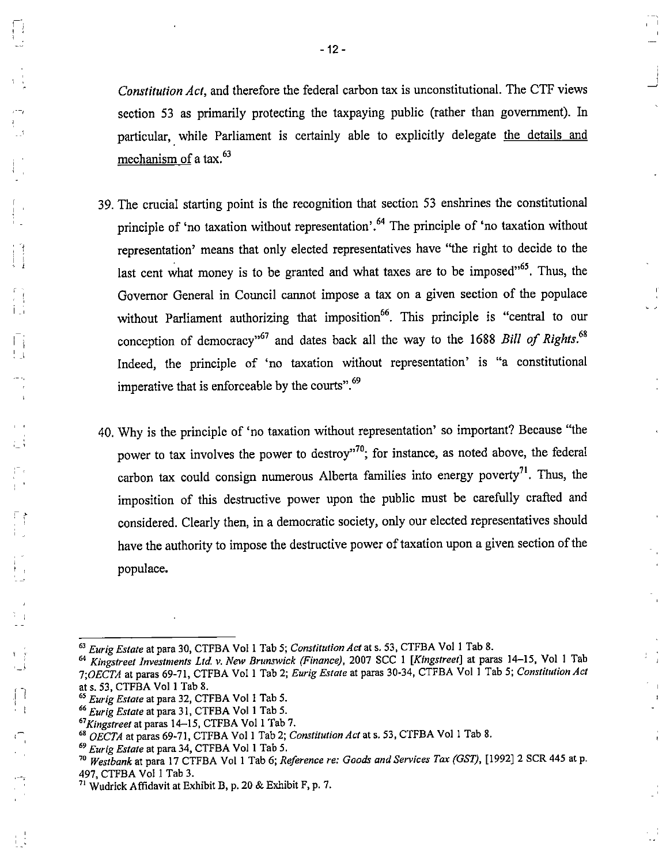Constitution Act, and therefore the federal carbon tax is unconstitutional. The CTF views section 53 as primarily protecting the taxpaying public (rather than government). In particular, while Parliament is certainly able to explicitly delegate the details and mechanism of a tax. $^{63}$ 

- 39. The crucial starting point is the recognition that section 53 enshrines the constitutional principle of 'no taxation without representation'.<sup>64</sup> The principle of 'no taxation without representation' means that only elected representatives have "the right to decide to the last cent what money is to be granted and what taxes are to be imposed $^{165}$ . Thus, the Governor General in Council cannot impose a tax on a given section of the populace without Parliament authorizing that imposition<sup>66</sup>. This principle is "central to our conception of democracy"<sup>67</sup> and dates back all the way to the 1688 Bill of Rights.<sup>68</sup> Indeed, the principle of 'no taxation without representation' is "a constitutional imperative that is enforceable by the courts". $^{69}$
- 40. Why is the principle of 'no taxation without representation' so important? Because "the power to tax involves the power to destroy"<sup>70</sup>; for instance, as noted above, the federal m ^ carbon tax could consign numerous Alberta families into energy poverty . Thus, the imposition of this destructive power upon the public must be carefully crafted and considered. Clearly then, in a democratic society, only our elected representatives should have the authority to impose the destructive power of taxation upon a given section of the populace.

 $\frac{1}{2} - \frac{1}{4}$ 

 $\mathbf{I}$  $\mathbf{I}$ 

e d

<sup>&</sup>lt;sup>63</sup> Eurig Estate at para 30, CTFBA Vol 1 Tab 5; Constitution Act at s. 53, CTFBA Vol 1 Tab 8.

<sup>&</sup>lt;sup>64</sup> Kingstreet Investments Ltd. v. New Brunswick (Finance), 2007 SCC 1 [Kingstreet] at paras 14-15, Vol 1 Tab 7;OECTA at paras 69-71, CTFBA Vol 1 Tab 2; Eurig Estate at paras 30-34, CTFBA Vol 1 Tab 5; Constitution Act at s. 53. CTFBA Vol 1 Tab 8.

<sup>&</sup>lt;sup>65</sup> Eurig Estate at para 32, CTFBA Vol 1 Tab 5.

<sup>&</sup>lt;sup>66</sup> Eurig Estate at para 31, CTFBA Vol 1 Tab 5.

Kingstreet at paras 14-15, CTFBA Vol 1 Tab 7.

 $^{68}$  OECTA at paras 69-71, CTFBA Vol 1 Tab 2; Constitution Act at s. 53, CTFBA Vol 1 Tab 8.

<sup>&</sup>lt;sup>69</sup> Eurig Estate at para 34, CTFBA Vol 1 Tab 5.

<sup>&</sup>lt;sup>70</sup> Westbank at para 17 CTFBA Vol 1 Tab 6; Reference re: Goods and Services Tax (GST), [1992] 2 SCR 445 at p. 497, CTFBA Vol I Tab 3.

Wudrick Affidavit at Exhibit B, p. 20 & Exhibit F, p. 7.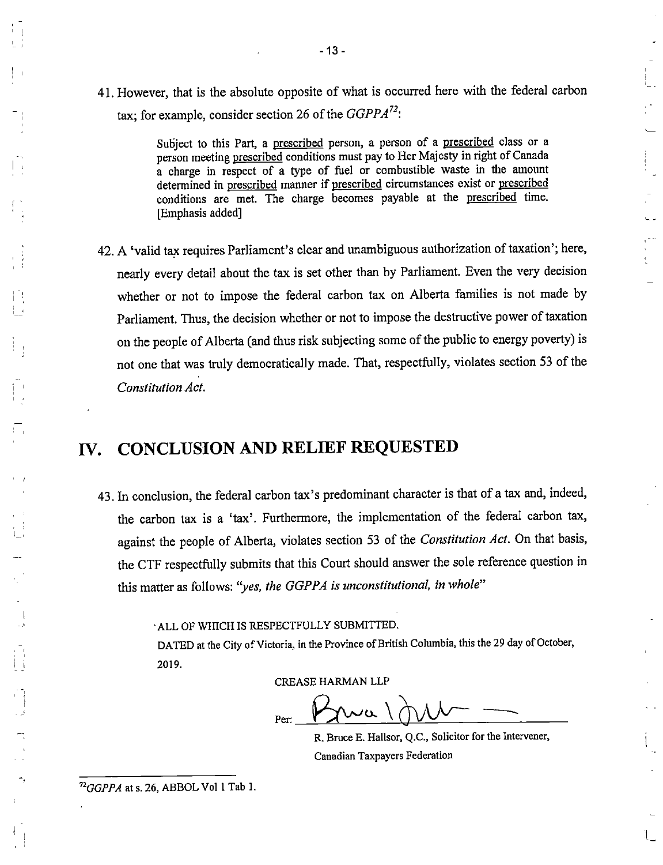41. However, that is the absolute opposite of what is occurred here with the federal carbon tax; for example, consider section 26 of the  $GGPPA^{72}$ .

> Subject to this Part, a prescribed person, a person of a prescribed class or a person meeting prescribed conditions must pay to Her Majesty in right of Canada a charge in respect of a type of ftiel or combustible waste in the amount determined in prescribed manner if prescribed circumstances exist or prescribed conditions are met. The charge becomes payable at the prescribed time. [Emphasis added]

42. A 'valid tax requires Parliament's clear and unambiguous authorization of taxation'; here, nearly every detail about the tax is set other than by Parliament. Even the very decision whether or not to impose the federal carbon tax on Alberta families is not made by Parliament. Thus, the decision whether or not to impose the destructive power of taxation on the people of Alberta (and thus risk subjecting some of the public to energy poverty) is not one that was truly democratically made. That, respectfully, violates section 53 of the Constitution Act.

# IV. CONCLUSION AND RELIEF REQUESTED

43. In conclusion, the federal carbon tax's predominant character is that of a tax and, indeed, the carbon tax is a 'tax'. Furthermore, the implementation of the federal carbon tax, against the people of Alberta, violates section 53 of the Constitution Act. On that basis, the CTF respectfully submits that this Court should answer the sole reference question in this matter as follows: "yes, the GGPPA is unconstitutional, in whole"

ALL OF WHICH IS RESPECTFULLY SUBMITTED.

 $^{72}GGPPA$  at s. 26, ABBOL Vol 1 Tab 1.

DATED at the City of Victoria, in the Province of British Columbia, this the 29 day of October, 2019.

CREASE HARMAN LLP

ے ر Per:

R. Bruce E. Hallsor, Q.C., Solicitor for the Intervener, Canadian Taxpayers Federation

 $1_{-}$